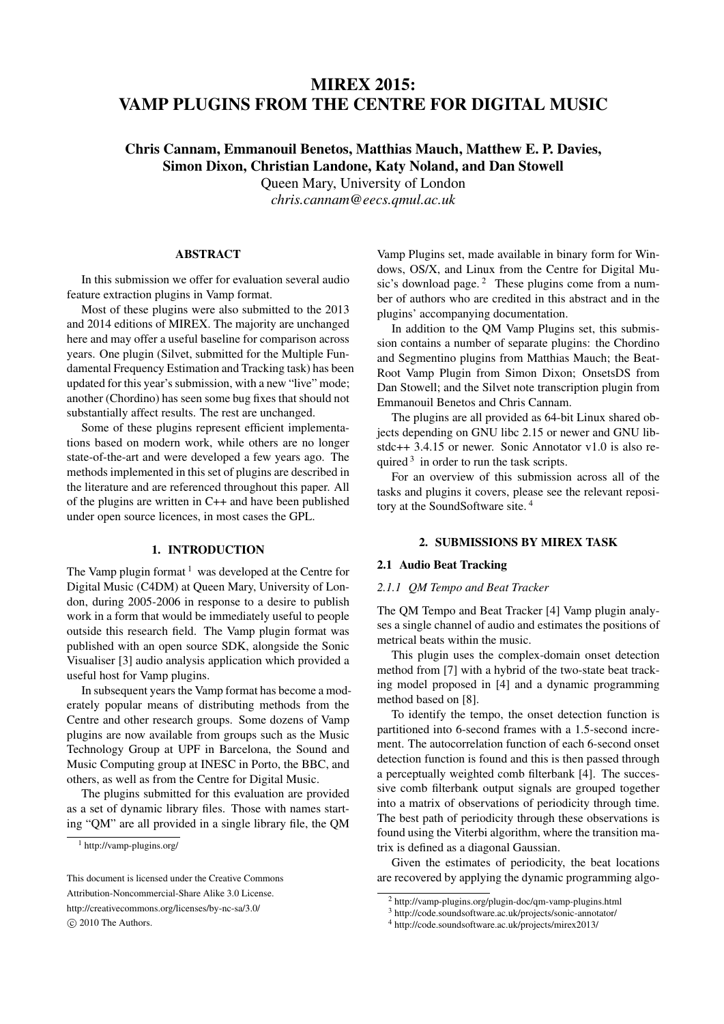# MIREX 2015: VAMP PLUGINS FROM THE CENTRE FOR DIGITAL MUSIC

# Chris Cannam, Emmanouil Benetos, Matthias Mauch, Matthew E. P. Davies, Simon Dixon, Christian Landone, Katy Noland, and Dan Stowell

Queen Mary, University of London

*chris.cannam@eecs.qmul.ac.uk*

# ABSTRACT

In this submission we offer for evaluation several audio feature extraction plugins in Vamp format.

Most of these plugins were also submitted to the 2013 and 2014 editions of MIREX. The majority are unchanged here and may offer a useful baseline for comparison across years. One plugin (Silvet, submitted for the Multiple Fundamental Frequency Estimation and Tracking task) has been updated for this year's submission, with a new "live" mode; another (Chordino) has seen some bug fixes that should not substantially affect results. The rest are unchanged.

Some of these plugins represent efficient implementations based on modern work, while others are no longer state-of-the-art and were developed a few years ago. The methods implemented in this set of plugins are described in the literature and are referenced throughout this paper. All of the plugins are written in C++ and have been published under open source licences, in most cases the GPL.

## 1. INTRODUCTION

The Vamp plugin format  $1$  was developed at the Centre for Digital Music (C4DM) at Queen Mary, University of London, during 2005-2006 in response to a desire to publish work in a form that would be immediately useful to people outside this research field. The Vamp plugin format was published with an open source SDK, alongside the Sonic Visualiser [3] audio analysis application which provided a useful host for Vamp plugins.

In subsequent years the Vamp format has become a moderately popular means of distributing methods from the Centre and other research groups. Some dozens of Vamp plugins are now available from groups such as the Music Technology Group at UPF in Barcelona, the Sound and Music Computing group at INESC in Porto, the BBC, and others, as well as from the Centre for Digital Music.

The plugins submitted for this evaluation are provided as a set of dynamic library files. Those with names starting "QM" are all provided in a single library file, the QM Vamp Plugins set, made available in binary form for Windows, OS/X, and Linux from the Centre for Digital Music's download page. $2$  These plugins come from a number of authors who are credited in this abstract and in the plugins' accompanying documentation.

In addition to the QM Vamp Plugins set, this submission contains a number of separate plugins: the Chordino and Segmentino plugins from Matthias Mauch; the Beat-Root Vamp Plugin from Simon Dixon; OnsetsDS from Dan Stowell; and the Silvet note transcription plugin from Emmanouil Benetos and Chris Cannam.

The plugins are all provided as 64-bit Linux shared objects depending on GNU libc 2.15 or newer and GNU libstdc++ 3.4.15 or newer. Sonic Annotator v1.0 is also required  $3$  in order to run the task scripts.

For an overview of this submission across all of the tasks and plugins it covers, please see the relevant repository at the SoundSoftware site. <sup>4</sup>

## 2. SUBMISSIONS BY MIREX TASK

## 2.1 Audio Beat Tracking

#### *2.1.1 QM Tempo and Beat Tracker*

The QM Tempo and Beat Tracker [4] Vamp plugin analyses a single channel of audio and estimates the positions of metrical beats within the music.

This plugin uses the complex-domain onset detection method from [7] with a hybrid of the two-state beat tracking model proposed in [4] and a dynamic programming method based on [8].

To identify the tempo, the onset detection function is partitioned into 6-second frames with a 1.5-second increment. The autocorrelation function of each 6-second onset detection function is found and this is then passed through a perceptually weighted comb filterbank [4]. The successive comb filterbank output signals are grouped together into a matrix of observations of periodicity through time. The best path of periodicity through these observations is found using the Viterbi algorithm, where the transition matrix is defined as a diagonal Gaussian.

Given the estimates of periodicity, the beat locations are recovered by applying the dynamic programming algo-

<sup>1</sup> http://vamp-plugins.org/

This document is licensed under the Creative Commons Attribution-Noncommercial-Share Alike 3.0 License. http://creativecommons.org/licenses/by-nc-sa/3.0/ *⃝*c 2010 The Authors.

<sup>2</sup> http://vamp-plugins.org/plugin-doc/qm-vamp-plugins.html

<sup>3</sup> http://code.soundsoftware.ac.uk/projects/sonic-annotator/

<sup>4</sup> http://code.soundsoftware.ac.uk/projects/mirex2013/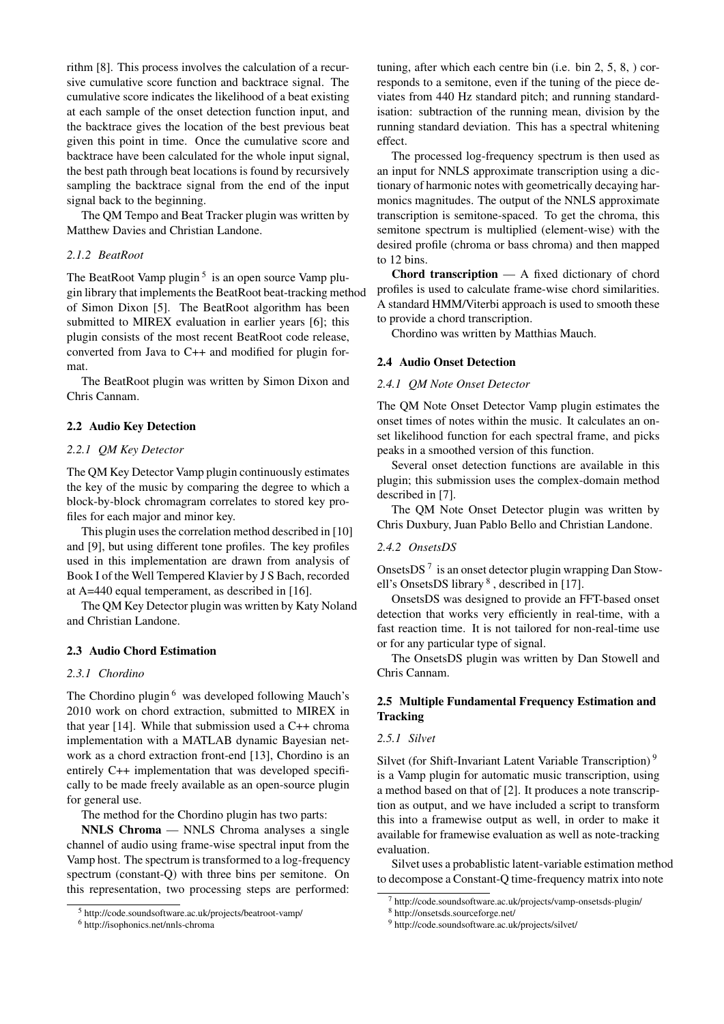rithm [8]. This process involves the calculation of a recursive cumulative score function and backtrace signal. The cumulative score indicates the likelihood of a beat existing at each sample of the onset detection function input, and the backtrace gives the location of the best previous beat given this point in time. Once the cumulative score and backtrace have been calculated for the whole input signal, the best path through beat locations is found by recursively sampling the backtrace signal from the end of the input signal back to the beginning.

The QM Tempo and Beat Tracker plugin was written by Matthew Davies and Christian Landone.

## *2.1.2 BeatRoot*

The BeatRoot Vamp plugin<sup>5</sup> is an open source Vamp plugin library that implements the BeatRoot beat-tracking method of Simon Dixon [5]. The BeatRoot algorithm has been submitted to MIREX evaluation in earlier years [6]; this plugin consists of the most recent BeatRoot code release, converted from Java to C++ and modified for plugin format.

The BeatRoot plugin was written by Simon Dixon and Chris Cannam.

## 2.2 Audio Key Detection

## *2.2.1 QM Key Detector*

The QM Key Detector Vamp plugin continuously estimates the key of the music by comparing the degree to which a block-by-block chromagram correlates to stored key profiles for each major and minor key.

This plugin uses the correlation method described in [10] and [9], but using different tone profiles. The key profiles used in this implementation are drawn from analysis of Book I of the Well Tempered Klavier by J S Bach, recorded at A=440 equal temperament, as described in [16].

The QM Key Detector plugin was written by Katy Noland and Christian Landone.

#### 2.3 Audio Chord Estimation

## *2.3.1 Chordino*

The Chordino plugin<sup>6</sup> was developed following Mauch's 2010 work on chord extraction, submitted to MIREX in that year [14]. While that submission used a C++ chroma implementation with a MATLAB dynamic Bayesian network as a chord extraction front-end [13], Chordino is an entirely C++ implementation that was developed specifically to be made freely available as an open-source plugin for general use.

The method for the Chordino plugin has two parts:

NNLS Chroma — NNLS Chroma analyses a single channel of audio using frame-wise spectral input from the Vamp host. The spectrum is transformed to a log-frequency spectrum (constant-Q) with three bins per semitone. On this representation, two processing steps are performed: tuning, after which each centre bin (i.e. bin 2, 5, 8, ) corresponds to a semitone, even if the tuning of the piece deviates from 440 Hz standard pitch; and running standardisation: subtraction of the running mean, division by the running standard deviation. This has a spectral whitening effect.

The processed log-frequency spectrum is then used as an input for NNLS approximate transcription using a dictionary of harmonic notes with geometrically decaying harmonics magnitudes. The output of the NNLS approximate transcription is semitone-spaced. To get the chroma, this semitone spectrum is multiplied (element-wise) with the desired profile (chroma or bass chroma) and then mapped to 12 bins.

Chord transcription — A fixed dictionary of chord profiles is used to calculate frame-wise chord similarities. A standard HMM/Viterbi approach is used to smooth these to provide a chord transcription.

Chordino was written by Matthias Mauch.

#### 2.4 Audio Onset Detection

## *2.4.1 QM Note Onset Detector*

The QM Note Onset Detector Vamp plugin estimates the onset times of notes within the music. It calculates an onset likelihood function for each spectral frame, and picks peaks in a smoothed version of this function.

Several onset detection functions are available in this plugin; this submission uses the complex-domain method described in [7].

The QM Note Onset Detector plugin was written by Chris Duxbury, Juan Pablo Bello and Christian Landone.

## *2.4.2 OnsetsDS*

OnsetsDS<sup>7</sup> is an onset detector plugin wrapping Dan Stowell's OnsetsDS library<sup>8</sup>, described in [17].

OnsetsDS was designed to provide an FFT-based onset detection that works very efficiently in real-time, with a fast reaction time. It is not tailored for non-real-time use or for any particular type of signal.

The OnsetsDS plugin was written by Dan Stowell and Chris Cannam.

# 2.5 Multiple Fundamental Frequency Estimation and **Tracking**

## *2.5.1 Silvet*

Silvet (for Shift-Invariant Latent Variable Transcription)<sup>9</sup> is a Vamp plugin for automatic music transcription, using a method based on that of [2]. It produces a note transcription as output, and we have included a script to transform this into a framewise output as well, in order to make it available for framewise evaluation as well as note-tracking evaluation.

Silvet uses a probablistic latent-variable estimation method to decompose a Constant-Q time-frequency matrix into note

<sup>5</sup> http://code.soundsoftware.ac.uk/projects/beatroot-vamp/

<sup>6</sup> http://isophonics.net/nnls-chroma

 $^7$  http://code.soundsoftware.ac.uk/projects/vamp-onsetsds-plugin/

<sup>8</sup> http://onsetsds.sourceforge.net/

<sup>9</sup> http://code.soundsoftware.ac.uk/projects/silvet/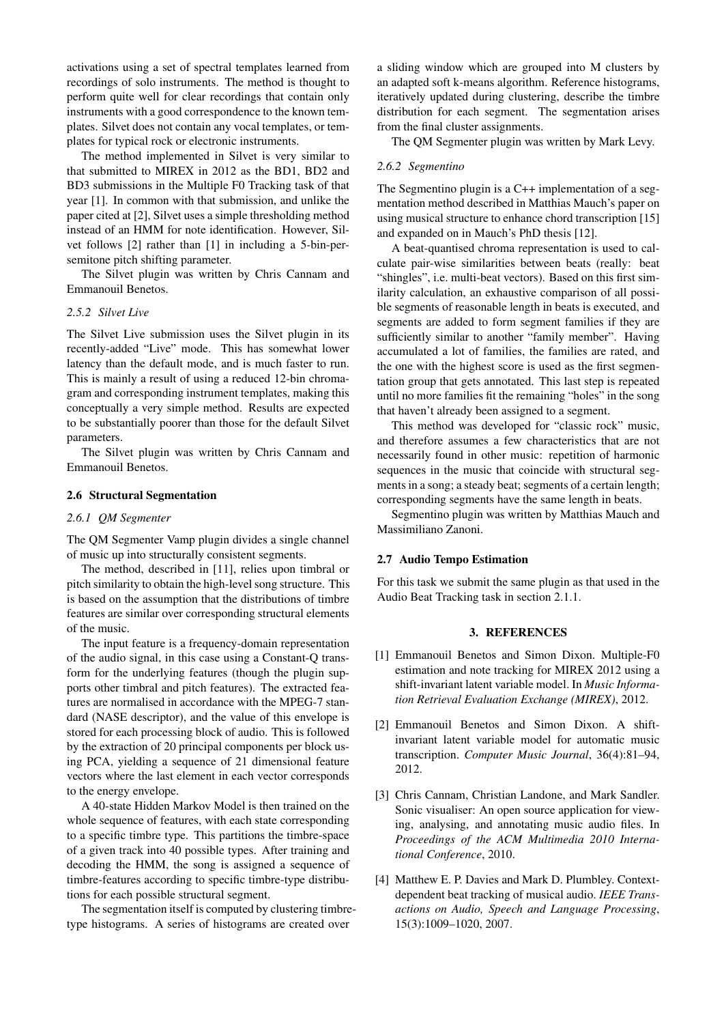activations using a set of spectral templates learned from recordings of solo instruments. The method is thought to perform quite well for clear recordings that contain only instruments with a good correspondence to the known templates. Silvet does not contain any vocal templates, or templates for typical rock or electronic instruments.

The method implemented in Silvet is very similar to that submitted to MIREX in 2012 as the BD1, BD2 and BD3 submissions in the Multiple F0 Tracking task of that year [1]. In common with that submission, and unlike the paper cited at [2], Silvet uses a simple thresholding method instead of an HMM for note identification. However, Silvet follows [2] rather than [1] in including a 5-bin-persemitone pitch shifting parameter.

The Silvet plugin was written by Chris Cannam and Emmanouil Benetos.

## *2.5.2 Silvet Live*

The Silvet Live submission uses the Silvet plugin in its recently-added "Live" mode. This has somewhat lower latency than the default mode, and is much faster to run. This is mainly a result of using a reduced 12-bin chromagram and corresponding instrument templates, making this conceptually a very simple method. Results are expected to be substantially poorer than those for the default Silvet parameters.

The Silvet plugin was written by Chris Cannam and Emmanouil Benetos.

## 2.6 Structural Segmentation

#### *2.6.1 QM Segmenter*

The QM Segmenter Vamp plugin divides a single channel of music up into structurally consistent segments.

The method, described in [11], relies upon timbral or pitch similarity to obtain the high-level song structure. This is based on the assumption that the distributions of timbre features are similar over corresponding structural elements of the music.

The input feature is a frequency-domain representation of the audio signal, in this case using a Constant-Q transform for the underlying features (though the plugin supports other timbral and pitch features). The extracted features are normalised in accordance with the MPEG-7 standard (NASE descriptor), and the value of this envelope is stored for each processing block of audio. This is followed by the extraction of 20 principal components per block using PCA, yielding a sequence of 21 dimensional feature vectors where the last element in each vector corresponds to the energy envelope.

A 40-state Hidden Markov Model is then trained on the whole sequence of features, with each state corresponding to a specific timbre type. This partitions the timbre-space of a given track into 40 possible types. After training and decoding the HMM, the song is assigned a sequence of timbre-features according to specific timbre-type distributions for each possible structural segment.

The segmentation itself is computed by clustering timbretype histograms. A series of histograms are created over

a sliding window which are grouped into M clusters by an adapted soft k-means algorithm. Reference histograms, iteratively updated during clustering, describe the timbre distribution for each segment. The segmentation arises from the final cluster assignments.

The QM Segmenter plugin was written by Mark Levy.

## *2.6.2 Segmentino*

The Segmentino plugin is a C++ implementation of a segmentation method described in Matthias Mauch's paper on using musical structure to enhance chord transcription [15] and expanded on in Mauch's PhD thesis [12].

A beat-quantised chroma representation is used to calculate pair-wise similarities between beats (really: beat "shingles", i.e. multi-beat vectors). Based on this first similarity calculation, an exhaustive comparison of all possible segments of reasonable length in beats is executed, and segments are added to form segment families if they are sufficiently similar to another "family member". Having accumulated a lot of families, the families are rated, and the one with the highest score is used as the first segmentation group that gets annotated. This last step is repeated until no more families fit the remaining "holes" in the song that haven't already been assigned to a segment.

This method was developed for "classic rock" music, and therefore assumes a few characteristics that are not necessarily found in other music: repetition of harmonic sequences in the music that coincide with structural segments in a song; a steady beat; segments of a certain length; corresponding segments have the same length in beats.

Segmentino plugin was written by Matthias Mauch and Massimiliano Zanoni.

## 2.7 Audio Tempo Estimation

For this task we submit the same plugin as that used in the Audio Beat Tracking task in section 2.1.1.

## 3. REFERENCES

- [1] Emmanouil Benetos and Simon Dixon. Multiple-F0 estimation and note tracking for MIREX 2012 using a shift-invariant latent variable model. In *Music Information Retrieval Evaluation Exchange (MIREX)*, 2012.
- [2] Emmanouil Benetos and Simon Dixon. A shiftinvariant latent variable model for automatic music transcription. *Computer Music Journal*, 36(4):81–94, 2012.
- [3] Chris Cannam, Christian Landone, and Mark Sandler. Sonic visualiser: An open source application for viewing, analysing, and annotating music audio files. In *Proceedings of the ACM Multimedia 2010 International Conference*, 2010.
- [4] Matthew E. P. Davies and Mark D. Plumbley. Contextdependent beat tracking of musical audio. *IEEE Transactions on Audio, Speech and Language Processing*, 15(3):1009–1020, 2007.